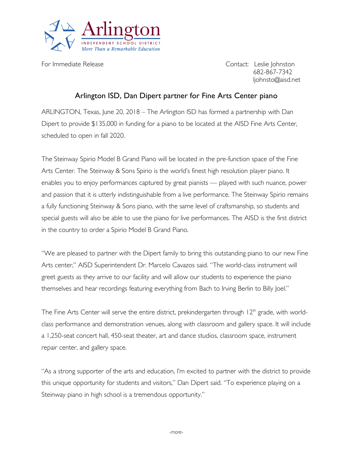

For Immediate Release **Contact:** Leslie Johnston 682-867-7342 ljohnsto@aisd.net

## Arlington ISD, Dan Dipert partner for Fine Arts Center piano

ARLINGTON, Texas, June 20, 2018 – The Arlington ISD has formed a partnership with Dan Dipert to provide \$135,000 in funding for a piano to be located at the AISD Fine Arts Center, scheduled to open in fall 2020.

The Steinway Spirio Model B Grand Piano will be located in the pre-function space of the Fine Arts Center. The Steinway & Sons Spirio is the world's finest high resolution player piano. It enables you to enjoy performances captured by great pianists — played with such nuance, power and passion that it is utterly indistinguishable from a live performance. The Steinway Spirio remains a fully functioning Steinway & Sons piano, with the same level of craftsmanship, so students and special guests will also be able to use the piano for live performances. The AISD is the first district in the country to order a Spirio Model B Grand Piano.

"We are pleased to partner with the Dipert family to bring this outstanding piano to our new Fine Arts center," AISD Superintendent Dr. Marcelo Cavazos said. "The world-class instrument will greet guests as they arrive to our facility and will allow our students to experience the piano themselves and hear recordings featuring everything from Bach to Irving Berlin to Billy Joel."

The Fine Arts Center will serve the entire district, prekindergarten through  $12<sup>th</sup>$  grade, with worldclass performance and demonstration venues, along with classroom and gallery space. It will include a 1,250-seat concert hall, 450-seat theater, art and dance studios, classroom space, instrument repair center, and gallery space.

"As a strong supporter of the arts and education, I'm excited to partner with the district to provide this unique opportunity for students and visitors," Dan Dipert said. "To experience playing on a Steinway piano in high school is a tremendous opportunity."